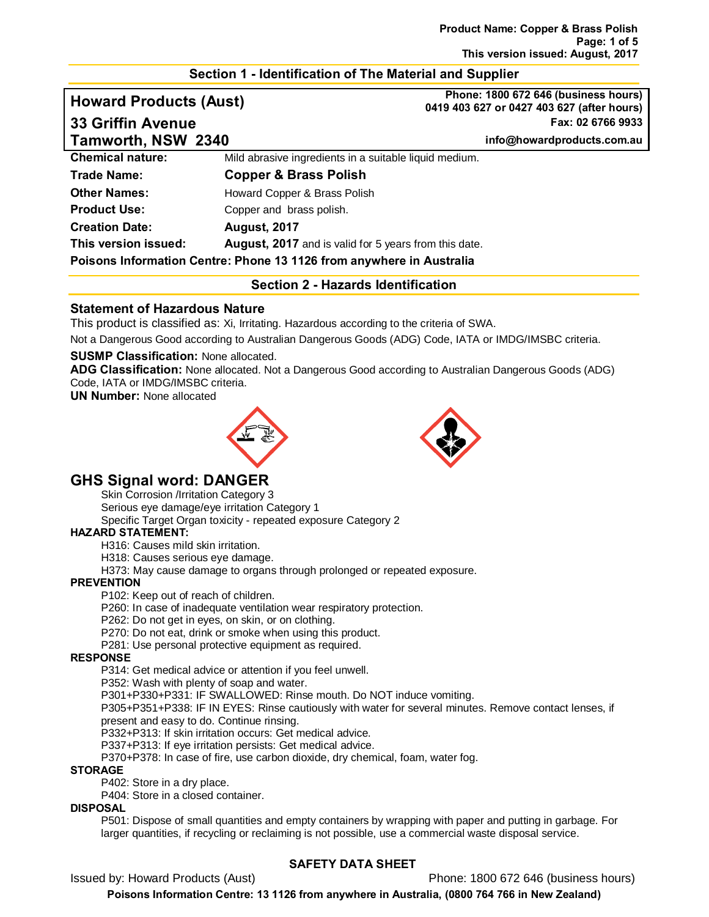# **Section 1 - Identification of The Material and Supplier**

# **Howard Products (Aust) Phone: 1800 672 646 (business hours)**

**0419 403 627 or 0427 403 627 (after hours) 33 Griffin Avenue Fax: 02 6766 9933**

**Tamworth, NSW 2340 info@howardproducts.com.au**

| <b>Tamworth, NSW 2340</b> |                                                                      | info@noward |
|---------------------------|----------------------------------------------------------------------|-------------|
| <b>Chemical nature:</b>   | Mild abrasive ingredients in a suitable liquid medium.               |             |
| <b>Trade Name:</b>        | <b>Copper &amp; Brass Polish</b>                                     |             |
| <b>Other Names:</b>       | Howard Copper & Brass Polish                                         |             |
| <b>Product Use:</b>       | Copper and brass polish.                                             |             |
| <b>Creation Date:</b>     | <b>August, 2017</b>                                                  |             |
| This version issued:      | <b>August, 2017</b> and is valid for 5 years from this date.         |             |
|                           | Poisons Information Centre: Phone 13 1126 from anywhere in Australia |             |

### **Section 2 - Hazards Identification**

# **Statement of Hazardous Nature**

This product is classified as: Xi, Irritating. Hazardous according to the criteria of SWA.

Not a Dangerous Good according to Australian Dangerous Goods (ADG) Code, IATA or IMDG/IMSBC criteria.

### **SUSMP Classification:** None allocated.

**ADG Classification:** None allocated. Not a Dangerous Good according to Australian Dangerous Goods (ADG) Code, IATA or IMDG/IMSBC criteria.

**UN Number:** None allocated





# **GHS Signal word: DANGER**

Skin Corrosion /Irritation Category 3

Serious eye damage/eye irritation Category 1

Specific Target Organ toxicity - repeated exposure Category 2

### **HAZARD STATEMENT:**

H316: Causes mild skin irritation.

H318: Causes serious eye damage.

H373: May cause damage to organs through prolonged or repeated exposure.

### **PREVENTION**

P102: Keep out of reach of children.

P260: In case of inadequate ventilation wear respiratory protection.

P262: Do not get in eyes, on skin, or on clothing.

P270: Do not eat, drink or smoke when using this product.

P281: Use personal protective equipment as required.

### **RESPONSE**

P314: Get medical advice or attention if you feel unwell.

P352: Wash with plenty of soap and water.

P301+P330+P331: IF SWALLOWED: Rinse mouth. Do NOT induce vomiting.

P305+P351+P338: IF IN EYES: Rinse cautiously with water for several minutes. Remove contact lenses, if present and easy to do. Continue rinsing.

P332+P313: If skin irritation occurs: Get medical advice.

P337+P313: If eye irritation persists: Get medical advice.

P370+P378: In case of fire, use carbon dioxide, dry chemical, foam, water fog.

#### **STORAGE**

P402: Store in a dry place.

P404: Store in a closed container.

### **DISPOSAL**

P501: Dispose of small quantities and empty containers by wrapping with paper and putting in garbage. For larger quantities, if recycling or reclaiming is not possible, use a commercial waste disposal service.

# **SAFETY DATA SHEET**

Issued by: Howard Products (Aust) Phone: 1800 672 646 (business hours)

**Poisons Information Centre: 13 1126 from anywhere in Australia, (0800 764 766 in New Zealand)**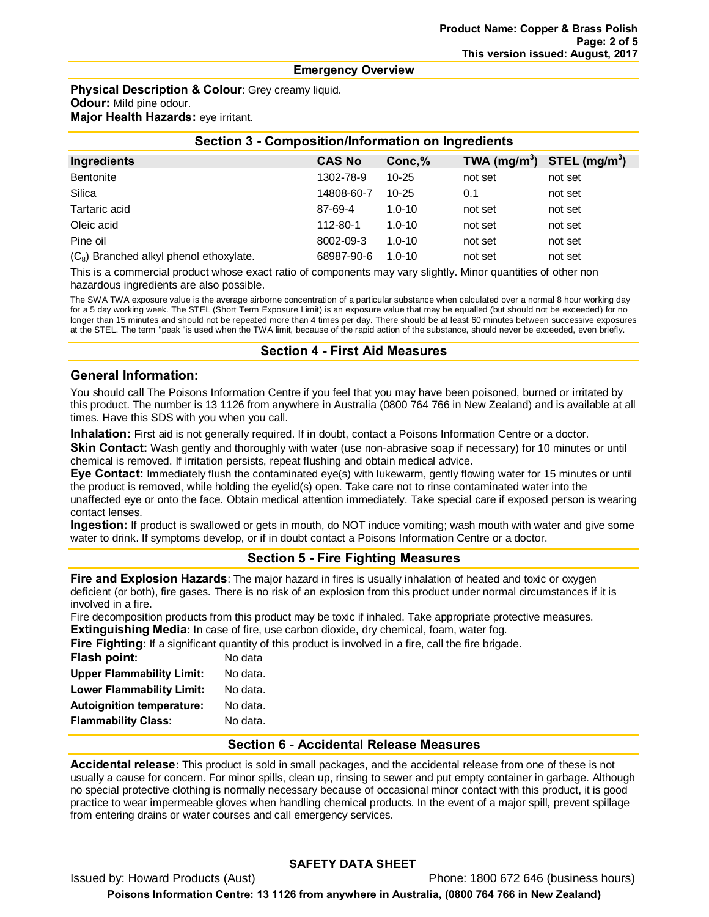#### **Emergency Overview**

**Physical Description & Colour**: Grey creamy liquid. **Odour:** Mild pine odour. **Major Health Hazards:** eye irritant.

| <b>Section 3 - Composition/Information on Ingredients</b> |               |            |                          |                           |
|-----------------------------------------------------------|---------------|------------|--------------------------|---------------------------|
| Ingredients                                               | <b>CAS No</b> | Conc,%     | TWA (mg/m <sup>3</sup> ) | STEL (mg/m <sup>3</sup> ) |
| Bentonite                                                 | 1302-78-9     | $10 - 25$  | not set                  | not set                   |
| Silica                                                    | 14808-60-7    | $10 - 25$  | 0.1                      | not set                   |
| Tartaric acid                                             | 87-69-4       | $1.0 - 10$ | not set                  | not set                   |
| Oleic acid                                                | 112-80-1      | $1.0 - 10$ | not set                  | not set                   |
| Pine oil                                                  | 8002-09-3     | $1.0 - 10$ | not set                  | not set                   |
| $(C_8)$ Branched alkyl phenol ethoxylate.                 | 68987-90-6    | $1.0 - 10$ | not set                  | not set                   |

This is a commercial product whose exact ratio of components may vary slightly. Minor quantities of other non hazardous ingredients are also possible.

The SWA TWA exposure value is the average airborne concentration of a particular substance when calculated over a normal 8 hour working day for a 5 day working week. The STEL (Short Term Exposure Limit) is an exposure value that may be equalled (but should not be exceeded) for no longer than 15 minutes and should not be repeated more than 4 times per day. There should be at least 60 minutes between successive exposures at the STEL. The term "peak "is used when the TWA limit, because of the rapid action of the substance, should never be exceeded, even briefly.

# **Section 4 - First Aid Measures**

# **General Information:**

You should call The Poisons Information Centre if you feel that you may have been poisoned, burned or irritated by this product. The number is 13 1126 from anywhere in Australia (0800 764 766 in New Zealand) and is available at all times. Have this SDS with you when you call.

**Inhalation:** First aid is not generally required. If in doubt, contact a Poisons Information Centre or a doctor.

**Skin Contact:** Wash gently and thoroughly with water (use non-abrasive soap if necessary) for 10 minutes or until chemical is removed. If irritation persists, repeat flushing and obtain medical advice.

**Eye Contact:** Immediately flush the contaminated eye(s) with lukewarm, gently flowing water for 15 minutes or until the product is removed, while holding the eyelid(s) open. Take care not to rinse contaminated water into the unaffected eye or onto the face. Obtain medical attention immediately. Take special care if exposed person is wearing contact lenses.

**Ingestion:** If product is swallowed or gets in mouth, do NOT induce vomiting; wash mouth with water and give some water to drink. If symptoms develop, or if in doubt contact a Poisons Information Centre or a doctor.

# **Section 5 - Fire Fighting Measures**

**Fire and Explosion Hazards**: The major hazard in fires is usually inhalation of heated and toxic or oxygen deficient (or both), fire gases. There is no risk of an explosion from this product under normal circumstances if it is involved in a fire.

Fire decomposition products from this product may be toxic if inhaled. Take appropriate protective measures. **Extinguishing Media:** In case of fire, use carbon dioxide, dry chemical, foam, water fog.

**Fire Fighting:** If a significant quantity of this product is involved in a fire, call the fire brigade.

| Flash point:                     | No data  |
|----------------------------------|----------|
| <b>Upper Flammability Limit:</b> | No data. |
| <b>Lower Flammability Limit:</b> | No data. |
| <b>Autoignition temperature:</b> | No data. |
| <b>Flammability Class:</b>       | No data. |
|                                  |          |

# **Section 6 - Accidental Release Measures**

**Accidental release:** This product is sold in small packages, and the accidental release from one of these is not usually a cause for concern. For minor spills, clean up, rinsing to sewer and put empty container in garbage. Although no special protective clothing is normally necessary because of occasional minor contact with this product, it is good practice to wear impermeable gloves when handling chemical products. In the event of a major spill, prevent spillage from entering drains or water courses and call emergency services.

# **SAFETY DATA SHEET**

Issued by: Howard Products (Aust) Phone: 1800 672 646 (business hours) **Poisons Information Centre: 13 1126 from anywhere in Australia, (0800 764 766 in New Zealand)**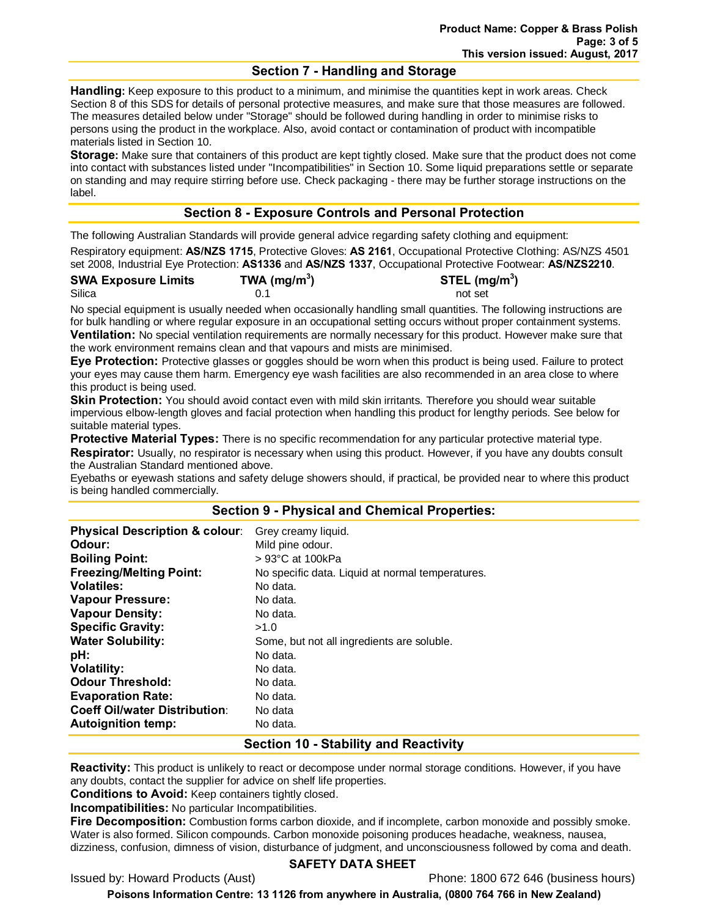# **Section 7 - Handling and Storage**

**Handling:** Keep exposure to this product to a minimum, and minimise the quantities kept in work areas. Check Section 8 of this SDS for details of personal protective measures, and make sure that those measures are followed. The measures detailed below under "Storage" should be followed during handling in order to minimise risks to persons using the product in the workplace. Also, avoid contact or contamination of product with incompatible materials listed in Section 10.

**Storage:** Make sure that containers of this product are kept tightly closed. Make sure that the product does not come into contact with substances listed under "Incompatibilities" in Section 10. Some liquid preparations settle or separate on standing and may require stirring before use. Check packaging - there may be further storage instructions on the label.

# **Section 8 - Exposure Controls and Personal Protection**

The following Australian Standards will provide general advice regarding safety clothing and equipment:

Respiratory equipment: **AS/NZS 1715**, Protective Gloves: **AS 2161**, Occupational Protective Clothing: AS/NZS 4501 set 2008, Industrial Eye Protection: **AS1336** and **AS/NZS 1337**, Occupational Protective Footwear: **AS/NZS2210**.

| <b>SWA Exposure Limits</b> | TWA (mg/m <sup>3</sup> ) | STEL (mg/m <sup>3</sup> ) |
|----------------------------|--------------------------|---------------------------|
| Silica                     |                          | not set                   |

No special equipment is usually needed when occasionally handling small quantities. The following instructions are for bulk handling or where regular exposure in an occupational setting occurs without proper containment systems. **Ventilation:** No special ventilation requirements are normally necessary for this product. However make sure that the work environment remains clean and that vapours and mists are minimised.

**Eye Protection:** Protective glasses or goggles should be worn when this product is being used. Failure to protect your eyes may cause them harm. Emergency eye wash facilities are also recommended in an area close to where this product is being used.

**Skin Protection:** You should avoid contact even with mild skin irritants. Therefore you should wear suitable impervious elbow-length gloves and facial protection when handling this product for lengthy periods. See below for suitable material types.

**Protective Material Types:** There is no specific recommendation for any particular protective material type. **Respirator:** Usually, no respirator is necessary when using this product. However, if you have any doubts consult the Australian Standard mentioned above.

Eyebaths or eyewash stations and safety deluge showers should, if practical, be provided near to where this product is being handled commercially.

# **Section 9 - Physical and Chemical Properties:**

| <b>Physical Description &amp; colour:</b> | Grey creamy liquid.                              |
|-------------------------------------------|--------------------------------------------------|
| Odour:                                    | Mild pine odour.                                 |
| <b>Boiling Point:</b>                     | $>93^{\circ}$ C at 100kPa                        |
| <b>Freezing/Melting Point:</b>            | No specific data. Liquid at normal temperatures. |
| <b>Volatiles:</b>                         | No data.                                         |
| <b>Vapour Pressure:</b>                   | No data.                                         |
| <b>Vapour Density:</b>                    | No data.                                         |
| <b>Specific Gravity:</b>                  | >1.0                                             |
| <b>Water Solubility:</b>                  | Some, but not all ingredients are soluble.       |
| pH:                                       | No data.                                         |
| <b>Volatility:</b>                        | No data.                                         |
| <b>Odour Threshold:</b>                   | No data.                                         |
| <b>Evaporation Rate:</b>                  | No data.                                         |
| <b>Coeff Oil/water Distribution:</b>      | No data                                          |
| <b>Autoignition temp:</b>                 | No data.                                         |

# **Section 10 - Stability and Reactivity**

**Reactivity:** This product is unlikely to react or decompose under normal storage conditions. However, if you have any doubts, contact the supplier for advice on shelf life properties.

**Conditions to Avoid:** Keep containers tightly closed.

**Incompatibilities:** No particular Incompatibilities.

**Fire Decomposition:** Combustion forms carbon dioxide, and if incomplete, carbon monoxide and possibly smoke. Water is also formed. Silicon compounds. Carbon monoxide poisoning produces headache, weakness, nausea, dizziness, confusion, dimness of vision, disturbance of judgment, and unconsciousness followed by coma and death.

### **SAFETY DATA SHEET**

Issued by: Howard Products (Aust) Phone: 1800 672 646 (business hours)

**Poisons Information Centre: 13 1126 from anywhere in Australia, (0800 764 766 in New Zealand)**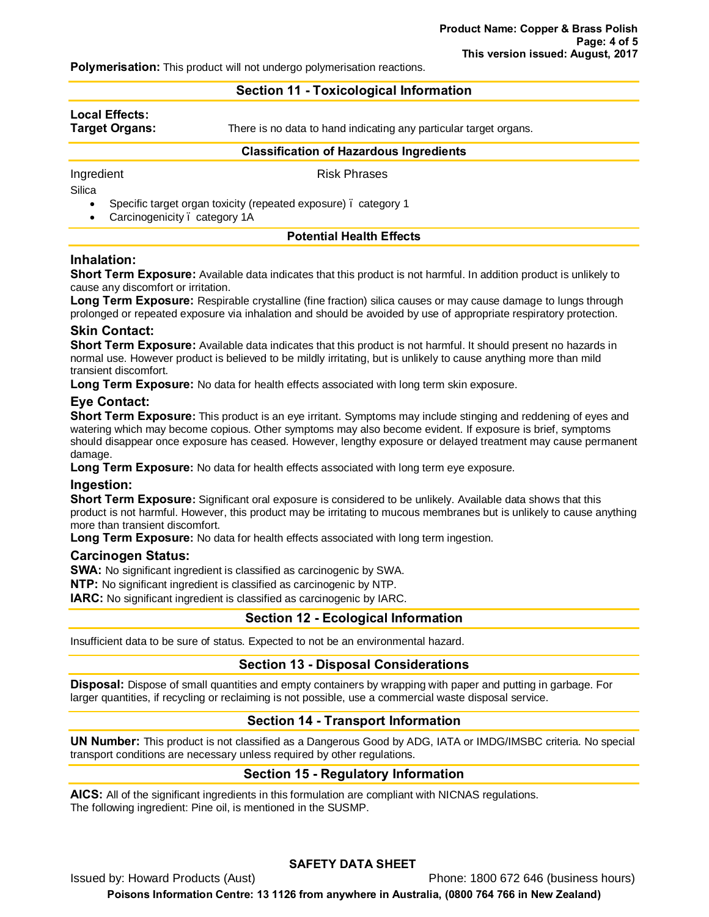**Polymerisation:** This product will not undergo polymerisation reactions.

# **Section 11 - Toxicological Information**

| Local Effects:<br>Target Organs: | There is no data to hand indicating any particular target organs. |  |
|----------------------------------|-------------------------------------------------------------------|--|
|                                  | <b>Classification of Hazardous Ingredients</b>                    |  |
| Ingredient                       | <b>Risk Phrases</b>                                               |  |

**Silica** 

Specific target organ toxicity (repeated exposure) . category 1

Carcinogenicity . category 1A

# **Potential Health Effects**

# **Inhalation:**

**Short Term Exposure:** Available data indicates that this product is not harmful. In addition product is unlikely to cause any discomfort or irritation.

**Long Term Exposure:** Respirable crystalline (fine fraction) silica causes or may cause damage to lungs through prolonged or repeated exposure via inhalation and should be avoided by use of appropriate respiratory protection.

# **Skin Contact:**

**Short Term Exposure:** Available data indicates that this product is not harmful. It should present no hazards in normal use. However product is believed to be mildly irritating, but is unlikely to cause anything more than mild transient discomfort.

**Long Term Exposure:** No data for health effects associated with long term skin exposure.

# **Eye Contact:**

**Short Term Exposure:** This product is an eye irritant. Symptoms may include stinging and reddening of eyes and watering which may become copious. Other symptoms may also become evident. If exposure is brief, symptoms should disappear once exposure has ceased. However, lengthy exposure or delayed treatment may cause permanent damage.

**Long Term Exposure:** No data for health effects associated with long term eye exposure.

### **Ingestion:**

**Short Term Exposure:** Significant oral exposure is considered to be unlikely. Available data shows that this product is not harmful. However, this product may be irritating to mucous membranes but is unlikely to cause anything more than transient discomfort.

**Long Term Exposure:** No data for health effects associated with long term ingestion.

### **Carcinogen Status:**

**SWA:** No significant ingredient is classified as carcinogenic by SWA.

**NTP:** No significant ingredient is classified as carcinogenic by NTP.

**IARC:** No significant ingredient is classified as carcinogenic by IARC.

# **Section 12 - Ecological Information**

Insufficient data to be sure of status. Expected to not be an environmental hazard.

# **Section 13 - Disposal Considerations**

**Disposal:** Dispose of small quantities and empty containers by wrapping with paper and putting in garbage. For larger quantities, if recycling or reclaiming is not possible, use a commercial waste disposal service.

# **Section 14 - Transport Information**

**UN Number:** This product is not classified as a Dangerous Good by ADG, IATA or IMDG/IMSBC criteria. No special transport conditions are necessary unless required by other regulations.

# **Section 15 - Regulatory Information**

**AICS:** All of the significant ingredients in this formulation are compliant with NICNAS regulations. The following ingredient: Pine oil, is mentioned in the SUSMP.

# **SAFETY DATA SHEET**

Issued by: Howard Products (Aust) Phone: 1800 672 646 (business hours)

**Poisons Information Centre: 13 1126 from anywhere in Australia, (0800 764 766 in New Zealand)**